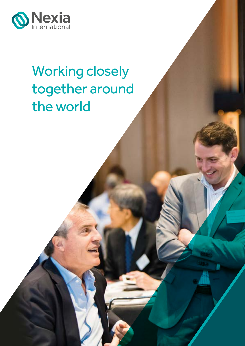

# Working closely together around the world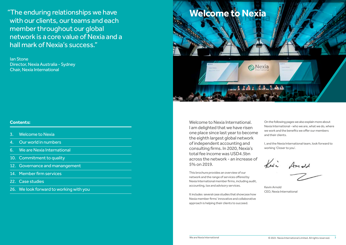"The enduring relationships we have with our clients, our teams and each member throughout our global network is a core value of Nexia and a hall mark of Nexia's success."

Ian Stone Director, Nexia Australia - Sydney Chair, Nexia International

### **Contents:**

- 3. Welcome to Nexia
- [4. Our world in numbers](#page-2-0)
- [6. We are Nexia International](#page-3-0)
- [10. Commitment to quality](#page-5-0)
- [12. Governance and manangement](#page-6-0)
- [14. Member firm services](#page-7-0)
- [22. Case studies](#page-11-0)
- [26. We look forward to working with you](#page-13-0)

Welcome to Nexia International. I am delighted that we have risen one place since last year to become the eighth largest global network of independent accounting and consulting firms. In 2020, Nexia's total fee income was USD4.5bn across the network - an increase of 5% on 2019.

This brochure provides an overview of our network and the range of services offered by Nexia International member firms, including audit, accounting, tax and advisory services.

It includes several case studies that showcase how Nexia member firms' innovative and collaborative approach is helping their clients to succeed.

On the following pages we also explain more about Nexia International - who we are, what we do, where we work and the benefits we offer our members and their clients.

I, and the Nexia International team, look forward to working 'Closer to you'.

Levi Amald

Kevin Arnold CEO, Nexia International

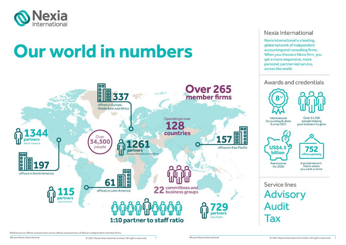<span id="page-2-0"></span>

# **Our world in numbers**



References to offices and partners are to offices and partners of Nexia's independent member firms.

We are Nexia International

### Nexia International

Nexia International is a leading. global network of independent accounting and consulting firms. When you choose a Nexia firm, you get a more responsive, more personal, partner-led service, across the world.



# Service lines **Advisory Audit** Tax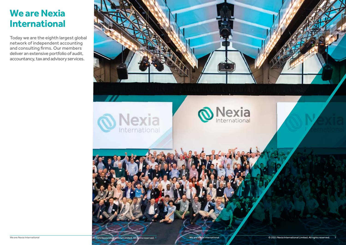<span id="page-3-0"></span>

Today we are the eighth largest global network of independent accounting and consulting firms. Our members deliver an extensive portfolio of audit, accountancy, tax and advisory services.

# **We are Nexia International**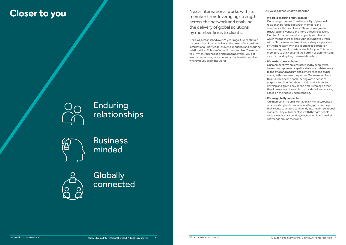## Enduring relationships



**Business** minded



**Globally** connected

**Closer to you** Nexia International works with its and the second of the second of the second of the second of the second of the second of the second of the second of the second of the second of the second of the second of member firms leveraging strength across the network and enabling the delivery of global solutions by member firms to clients.

> Nexia was established over 25 years ago. Our continued success is thanks to what lies at the heart of our business: international knowledge, proven experience and enduring relationships. This is reflected in our promise, 'Closer to you'. When you choose a Nexia member firm, you get a more responsive, more personal, partner-led service wherever you are in the world.



Our values define what we stand for:

### **• We build enduring relationships**

Our strength comes from the quality of personal relationships forged between members and members with their clients. This ensures greater trust, responsiveness and more effective delivery. Member firms communicate openly and clearly, which means there are no surprises when you work with a Nexia member firm. You are always supported by the right team with an experienced partner on every assignment, who is available for you. This helps members to think beyond the current assignment and invest in building long-term relationships.

### **• We are business-minded**

Our member firms are characterised by people who have an entrepreneurial spirit and who can relate closely to the small and medium sized enterprises and ownermanaged businesses they serve. Our member firms think like business people, acting with a sense of purpose and bringing ideas to help their clients to develop and grow. They spend time listening so that they know you and are able to provide tailored advice, based on their deep understanding.

### **• We are globally connected**

Our member firms are internationally minded, focused on supporting local companies as they grow and help their clients to venture confidently into new international markets. They will connect you with the right people and deliver local accounting, tax, economic and market knowledge around the world.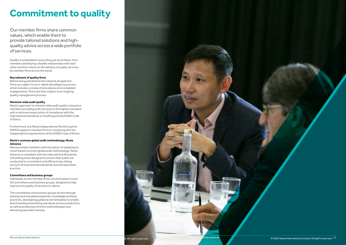<span id="page-5-0"></span>

Our member firms share common values, which enable them to provide tailored solutions and highquality advice across a wide portfolio of services.

Quality is embedded in everything we do at Nexia, from members developing valuable relationships with each other and their clients to the delivery of quality services by member firms across the world.

### **Recruitment of quality firms**

Before being admitted to the network all applicant firms are subject to an in-depth due diligence process which includes a review of procedures and completed engagements. Firms are then subject to an ongoing quality management process.

### **Network-wide audit quality**

Nexia's approach to network wide audit quality is based on members providing audit services to the highest standard with a minimum expectation of compliance with the International Standards on Auditing and the IESBA Code of Ethics.

Furthermore, the Nexia Independence Monitoring tool (NIMO) supports member firms in complying with the independence requirements of the IESBA Code of Ethics.

### **Nexia's common global audit methodology; Nexia Advance**

Nexia provides members with the option of adopting its cloud-based common global audit methodology. Nexia Advance is compliant with the International Standards of Auditing and is designed to ensure that audits are conducted in a consistent and efficient way, taking account of international standards and the latest best practice.

### **Committees and business groups**

Individuals across member firms can participate in over 20 committees and business groups, designed to help improve the quality of services to clients.

The committees and business groups do this through sharing local and global expertise, knowledge and best practices, developing guidance and templates to enable benchmarking and setting standards across jurisdictions as well as producing common methodologies and delivering specialist training.

# **Commitment to quality**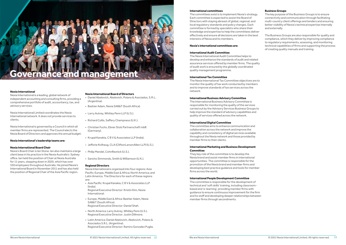### **International committees**

The committees exist is to implement Nexia's strategy. Each committee is expected to assist the Board of Directors with staying abreast of global, regional, and local regulatory standards and policy changes. Each committee is formed by specialists who share their knowledge and expertise to help the committees deliver effectively and ensure all decisions are taken in the best interests of Nexia and its members.

### **Nexia's international committees are:**

### **International Audit Committee**

The Nexia International Audit Committee helps to develop and enhance the standards of audit and related assurance services offered by member firms. The quality of audit work is ensured by the globally coordinated quality management programme.

### **International Tax Committee**

The Nexia International Tax Committee objectives are to monitor the quality of tax work conducted by members and to improve standards of tax services across the network.

### **International Business Advisory Committee**

The International Business Advisory Committee is responsible for monitoring the quality of the services carried out by the Advisory Services Business Groups to help improve the standard of advisory capabilities and quality of services offered across the network.

### **International Digital Committee**

The committee aims to enhance communication and collaboration across the network and improve the capability and consistency of digital services available throughout the Nexia network and those provided by member firms to their clients.

### **International Marketing and Business Development Committee**

They key role of the committee is to develop the Nexia brand and assist member firms in international opportunities. The committee is responsible for the promotion of the Nexia brand and member firms and developing best practice guidance and tools for member firms across the world.

### **International People Development Committee**

The committee is responsible for the development of technical and 'soft skills' training, including classroombased and 'e-learning', providing member firms with guidance to ensure continuous improvement for the firm and its staff and developing deeper relationships between member firms through secondments.

### **Business Groups**

The key purpose of the Business Groups is to ensure connectivity and communication through facilitating multi-country client offerings and tenders and ensuring better visibility of Nexia's technical expertise internally and externally.

The Business Groups are also responsible for quality and compliance, which they deliver by improving compliance to regulatory requirements, assessing, and monitoring technical capabilities of firms and supporting the process of creating quality manuals and training.

# <span id="page-6-0"></span>Governance and management

### **Nexia International**

Nexia International is a leading, global network of independent accounting and consulting firms, providing a comprehensive portfolio of audit, accountancy, tax, and advisory services.

Nexia International Limited coordinates the Nexia International network. It does not provide services to clients.

Nexia International is governed by a Council in which all member firms are represented. The Council elects the Nexia Board of Directors and approves the annual budget.

### **Nexia International's leadership teams are:**

### **Nexia International Board Chair**

Nexia's Board Chair is Ian Stone. Ian also maintains a large client base in his practice in the Nexia Australia's Sydney office. Ian held the position of Chair at Nexia Australia for 11 years, stepping down in 2020, which has over 550 employees throughout Australia. He joined Nexia's International Board in November 2011 and has also held the position of Regional Chair of the Asia Pacific region.

### **Nexia International Board of Directors**

- Daniel Abelovich, Abelovich, Polano & Asociados, S.R.L. (Argentina).
- Bashier Adam, Nexia SAB&T (South Africa).
- Larry Autrey, Whitley Penn LLP (U.S.).
- Richard Collis, Saffery Champness (U.K.).
- Kichard Collis, Saner y Champiess (O.K.).<br>• Christian Fuchs, Ebner Stolz Partnerschaft mbB (Germany).
- Krupal Kanakia, C B V & Associates LLP (India).
- Jefforie Kvilhaug, CLA (CliftonLarsonAllen LLP) (U.S.).
- Philip Mandel, CohnReznick (U.S.).
- Sancho Simmonds, Smith & Williamson (U.K.).

### **Regional Directors**

Nexia International is organised into four regions: Asia Pacific; Europe, Middle East & Africa; North America; and Latin America. The Directors for each of these regions are:

• Asia Pacific: Krupal Kanakia, C B V & Associates LLP (India).

Regional Executive Director: Kristin Kim, Nexia International.

- Europe, Middle East & Africa: Bashier Adam, Nexia SAB&T (South Africa). Regional Executive Director: Daniel Shah.
- North America: Larry Autrey, Whitley Penn (U.S.). Regional Executive Director: Justin Dillmore.
- Latin America: Daniel Abelovich, Abelovich, Polano & Asociados S.R.L. (Argentina). Regional Executive Director: Ramiro Gonzalez Puglia.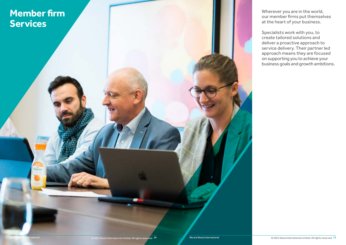# <span id="page-7-0"></span>**Member firm Services**

Wherever you are in the world, our member firms put themselves at the heart of your business.

Specialists work with you, to create tailored solutions and deliver a proactive approach to service delivery. Their partner led approach means they are focused on supporting you to achieve your business goals and growth ambitions.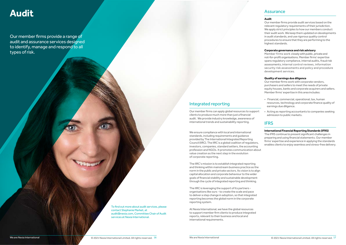# **Audit**

### Integrated reporting

Our member firms can apply global resources to support clients to produce much more than just a financial audit. We provide industry knowledge, awareness of international trends and sustainability reporting.

The IIRC's mission is to establish integrated reporting and thinking within mainstream business practice as the norm in the public and private sectors. Its vision is to align capital allocation and corporate behaviour to the wider goals of financial stability and sustainable development through the cycle of integrated reporting and thinking.

The IIRC is leveraging the support of its partners organisations like ours - to create the scale and pace to deliver a step change in adoption, so that integrated reporting becomes the global norm in the corporate reporting system.

At Nexia International, we have the global resources to support member firm clients to produce integrated reports, relevant to their business and local and international requirements.

### Assurance

### **Audit**

We ensure compliance with local and international standards, including requirements and guidance provided by The International Integrated Reporting Council (IIRC). The IIRC is a global coalition of regulators, investors, companies, standard setters, the accounting profession and NGOs. It promotes communication about value creation as the next step in the evolution of corporate reporting. The IFRS continue to present significant challenges in preparing and using financial statements. Our member firms' expertise and experience in applying the standards enables clients to enjoy seamless and stress-free delivery.

Our member firms provide audit services based on the relevant regulatory requirements of their jurisdiction. We apply strict principles to how our members conduct their audit work. We keep them updated on developments in audit standards, and use rigorous quality control procedures to ensure that they are performing to the highest standards.

### **Corporate governance and risk advisory**

Member firms work closely with public, private and not-for-profit organisations. Member firms' expertise spans regulatory compliance, internal audits, fraud risk assessments, internal control reviews, information security risk assessments and policy and procedure development services.

### **Quality of earnings due diligence**

Our member firms work with corporate vendors, purchasers and sellers to meet the needs of private equity houses, banks and corporate acquirers and sellers. Member firms' expertise in this area includes:

- Financial, commercial, operational, tax, human resources, technology and corporate finance quality of earnings due diligence.
- Acting as reporting accountants to companies seeking admission to public markets.

### **IFRS**

### **International Financial Reporting Standards (IFRS)**

Our member firms provide a range of audit and assurance services designed to identify, manage and respond to all types of risk.

> To find out more about audit services, please contact Stephanie Market, at audit@nexia.com, Committee Chair of Audit services at Nexia International.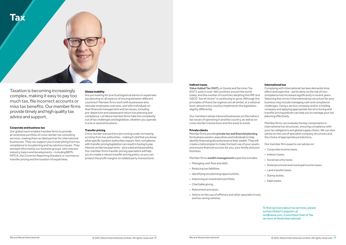```
To find out more about tax services, please 
contact Robert Langston, at 
tax@nexia.com, Committee Chair of Tax 
services at Nexia International.
```
### **Indirect taxes**

**Value Added Tax (VAT),** or Goods and Services Tax (GST), exist in over 160 countries around the world today, and the number of countries adopting this IMF and OECD "tax of choice" is continuing to grow. Although the principles of these tax regimes are all similar, at a national level, almost every country implements the legislation slightly differently.

Our members advise inbound businesses on the indirect tax issues of operating in another country, as well as on cross-border transactions and the areas to avoid.

### **Private clients**

Member firms provide **private tax and financial planning** for business owners, executives and individuals to help identify financial goals and preserve their wealth. They will create a tailored plan to make the best use of your assets and ensure financial success for you, your family and your business.

Member firms **wealth management** expertise includes:

- Managing cash flow and debt.
- Reducing tax liabilities.
- Identifying tax planning opportunities.
- Improving an investment portfolio.
- Charitable giving.
- Retirement provision.
- Advice on the use of offshore and other specialist trusts and tax saving vehicles.

### **International tax**

Complying with international tax laws demands time, effort and expertise - particularly as the risk of noncompliance has increased significantly in recent years. Selecting the correct international tax structure for your business may include managing cash and compliance challenges. Using a service company and/or a holding company and applying appropriate tax structuring and transfer pricing policies can help you to manage your tax planning effectively.

**Advisory**  out of tax challenges and legislation, whether you operate Are you looking for practical logistical advice or expatriate tax planning on all aspects of moving between different countries? Member firms work with businesses who relocate employees overseas, and with individuals on their financial management and tax issues, including pre-departure and subsequent return tax planning and compliance. Let Nexia member firms take the complexity in one or several locations.

Member firms can evaluate the key components in international tax structures, ensuring compliance with your tax obligations and global supply chains. We can also advise on the use of specialist company structures and the choice of appropriate jurisdictions.

Our member firm experts can advise on:

- Corporate income taxes.
- Indirect taxes.
- Social security taxes.
- State/provincial and municipal income taxes.
- Land transfer taxes.
- Stamp duties.
- Sales taxes.

Taxation is becoming increasingly complex, making it easy to pay too much tax, file incorrect accounts or miss tax benefits. Our member firms provide timely and high quality tax advice and support.

### **Corporate and business tax**

Our global reach enables member firms to provide an extensive portfolio of cross-border tax consulting services, making them an ideal partner for international businesses. They can support you in everything from tax compliance to tax planning and tax advisory issues. They are kept informed by our business groups, who oversee industry topics and developments - including BEPS, FATCA, the Common Reporting Standard, e-commerce, transfer pricing and the taxation of expatriates.

### **Global mobility**

### **Transfer pricing**

Cross-border transactions are coming under increasing scrutiny from tax authorities - making it vital that you know what specific taxation authorities require. Non-compliance with transfer pricing legislation can result in having to pay interest on late tax payments - plus substantial penalties. Our member firms transfer pricing specialists will help you to create a robust transfer pricing policy, so you can protect the profit margins on related party transactions.

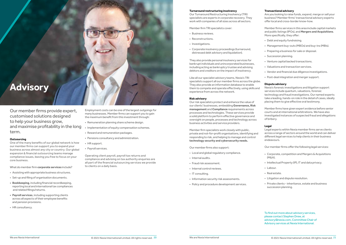To find out more about advisory services, please contact Stephen Drew, at advisory@nexia.com, Committee Chair of Advisory services at Nexia International.



### **Turnaround restructuring insolvency**

Our Turnaround Restructuring Insolvency (TRI) specialists are experts in corporate recovery. They work with companies of all sizes across all sectors.

Member firm TRI specialists cover:

- Business reviews.
- Reconstructions.
- Investigations.
- Corporate insolvency proceedings (turnaround, distressed debt advisory and liquidation).

**For further information about audit services,**  our clients' businesses, embedding **Governance, Risk management** and **Compliance** requirements across processes and technologies. These services provide Our risk specialists protect and enhance the value of a solid platform to perform effective governance and oversight on people, processes and technology across business activities and service providers.

They also provide personal insolvency services for bankrupt individuals and unincorporated businesses, including acting as bankruptcy trustee and advising debtors and creditors on the impact of insolvency.

Like all our specialist advisory teams, Nexia's TRI specialists support all our member firms across the globe. They also provide an information database to enable them to compete and operate effectively, using skills and experience from across the network.

### **Risk advisory**

Member firm specialists work closely with public, private and not-for-profit organisations, identifying and responding to risk, and helping to manage and control **technology security and cybersecurity needs.**

Our member firms also support:

- Local and global regulatory compliance.
- Internal audits.
- Fraud risk assessment.
- Internal control reviews.
- IT consulting.
- Information security risk assessments.
- Policy and procedure development services.

### **Transactional advisory**

Are you looking to raise funds, expand, merge or sell your business? Member firms' transactional advisory experts offer local and cross-border know-how.

Member firms services in this area include capital markets and public listings (IPOs), and **Mergers and Acquisitions**. More specifically, they offer:

- Debt and equity fundraising.
- Management buy-outs (MBOs) and buy-ins (MBIs).
- Preparing a business for sale or disposal.
- Succession planning.
- Venture capital backed transactions.
- Valuations and transaction services.
- Vendor and financial due diligence investigations.
- Post-deal integration and merger support.

### **Dispute advisory**

Nexia's forensic investigations and litigation support services include quantum, valuations, forensic technology and fraud investigations. Our named experts take a leading, hands-on role in the detail of cases, ideally placing them to give effective oral testimony.

Member firms have given expert evidence before senior courts and at international arbitrations. We have also investigated instances of suspected fraud and allegations of bribery.

### **Legal**

Legal experts within Nexia member firms serve clients across a range of sectors around the world and can deliver different legal services to help clients in their business endeavours.

Our member firms offer the following legal services:

- Corporate, competition and Mergers & Acquisitions (M&A).
- Intellectual Property (IP), IT and data privacy.
- Labour.
- Real estate.
- Litigation and dispute resolution.
- Private clients inheritance, estate and business succession planning.

Our member firms provide expert, customised solutions designed to help your business grow, and maximise profitability in the long term.

### **Outsourcing**

One of the many benefits of our global network is how our member firms can support you to expand your business across almost any city or country. Our global expansion & financial outsourcing teams manage compliance issues, leaving you free to focus on your core business.

What do member firm **corporate services** include?

- Assisting with appropriate business structures.
- Set-up and filing of organisation documents.
- **• Bookkeeping**, including financial recordkeeping, reporting local and international tax compliances and related filings/returns.
- **• Payroll services**, including supporting clients across all aspects of their employee benefits and pension provisions.
- HR consultancy.

Employment costs can be one of the largest outgoings for many businesses. Member firms can support you to gain the maximum benefit from this investment through:

- Remuneration planning share scheme design.
- Implementation of equity compensation schemes.
- Reward and remuneration packages.
- Pensions consultancy and administration.
- HR support.
- Payroll services.

Operating client payroll, payroll tax returns and compliance and advising on tax authority enquiries are all part of the financial outsourcing services we provide to clients on a daily basis.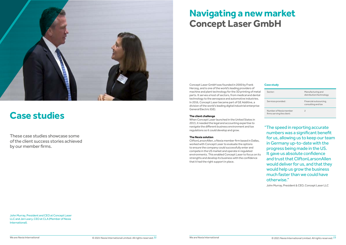John Murray, President and CEO at Concept Laser LLC and Jen Leary, CEO at CLA (Member of Nexia International).

<span id="page-11-0"></span>

# **Case studies**

These case studies showcase some of the client success stories achieved by our member firms.

# **Navigating a new market Concept Laser GmbH**

Concept Laser GmbH was founded in 2000 by Frank Herzog, and is one of the world's leading providers of machine and plant technology for the 3D printing of metal parts. It serves a host of sectors, from medical and dental technology to the aerospace and automotive industries. In 2016, Concept Laser became part of GE Additive, a division of the world's leading digital industrial enterprise General Electric (GE).

### **The client challenge**

When Concept Laser launched in the United States in 2013, it needed the legal and accounting expertise to navigate the different business environment and tax regulations so it could develop and grow.

### **The Nexia solution**

CliftonLarsonAllen, a Nexia member firm based in Dallas, worked with Concept Laser to evaluate the options to ensure the company could successfully enter and compete in the US market and operate in regulated environments. This enabled Concept Laser to focus on its strengths and develop its business with the confidence that it had the right support in place.

"The speed in reporting accurate numbers was a significant benefit for us, allowing us to keep our team in Germany up-to-date with the progress being made in the US. It gave us absolute confidence and trust that CliftonLarsonAllen would deliver for us, and that they would help us grow the business much faster than we could have otherwise."

John Murray, President & CEO, Concept Laser LLC

| Sector:                                             | Manufacturing and<br>distribution/technology |
|-----------------------------------------------------|----------------------------------------------|
| Services provided:                                  | Financial outsourcing,<br>consulting and tax |
| Number of Nexia member<br>firms serving the client: | $\mathcal{P}$                                |

### **Case study**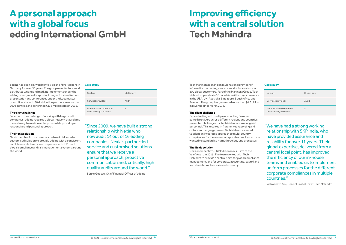# **Improving efficiency with a central solution Tech Mahindra**

# **A personal approach with a global focus edding International GmbH**

Tech Mahindra is an Indian multinational provider of **Case study Case study** information technology services and solutions to over 800 global customers. Part of the Mahindra Group, Tech Mahindra operates in 90 countries with a major presence in the USA, UK, Australia, Singapore, South Africa and Sweden. The group has generated more than \$4.5 billion in revenue since March 2018.

### **The client challenge**

Co-ordinating with multiple accounting firms and payroll providers across different regions and countries presented challenges for Tech Mahindaras managerial personnel. This resulted in fragmented reporting and culture and language issues. Tech Mahindra wanted to adopt an integrated approach to multi-country compliances for its overseas corporate compliance. It also wanted to standardise its methodology and processes.

### **The Nexia solution**

Nexia member firm, SKP India, won our 'Firm of the Year' Award in 2015. The team worked with Tech Mahindra to provide a central point for global compliance management, and for corporate, accounting, payroll and secretarial compliances in each country.



edding has been a byword for felt-tip and fibre-tip pens in Germany for over 50 years. The group manufactures and distributes writing and marking implements under the edding brand, as well as product ranges for visualisation, presentation and conferences under the Legamaster brand. It works with 80 distribution partners in more than 100 countries and generated €138 million sales in 2015.

### **The client challenge**

Faced with the challenge of working with larger audit companies, edding required a global network that related more closely to medium enterprises while providing a responsive and personal approach.

### **The Nexia solution**

Nexia member firms across our network delivered a customised solution to provide edding with a consistent audit team able to ensure compliance with IFRS and global compliance and risk management systems around the world.

"We have had a strong working relationship with SKP India, who have provided assurance and reliability for over 11 years. Their global expertise, delivered from a central local point, has improved the efficiency of our in-house teams and enabled us to implement uniform processes for the different corporate compliances in multiple countries."

Vishwanath Kini, Head of Global Tax at Tech Mahindra

"Since 2009, we have built a strong relationship with Nexia who now audit 14 out of 16 edding companies. Nexia's partner-led service and customised solutions ensure that we receive a personal approach, proactive communication and, critically, high quality audits around the world."

Sönke Goosse, Chief Financial Officer of edding

| Sector:                                             | <b>IT Services</b> |
|-----------------------------------------------------|--------------------|
| Services provided:                                  | Audit              |
| Number of Nexia member<br>firms serving the client: | 5                  |

| Sector:                                             | Stationery |
|-----------------------------------------------------|------------|
| Services provided:                                  | Audit      |
| Number of Nexia member<br>firms serving the client: |            |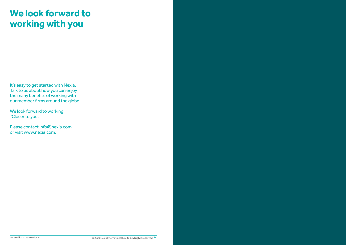It's easy to get started with Nexia. Talk to us about how you can enjoy the many benefits of working with our member firms around the globe.

We look forward to working 'Closer to you'.

Please contact info@nexia.com or visit www.nexia.com.

# <span id="page-13-0"></span>**We look forward to working with you**